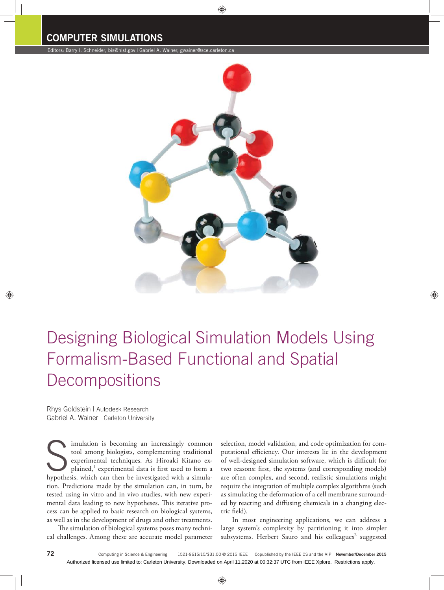# COMPUTER SIMULATION

Editors: Barry I. Schneider, bis@nist.gov | Gabriel A. Wainer, gwainer@sce.carleton.ca



# Designing Biological Simulation Models Using Formalism-Based Functional and Spatial **Decompositions**

Rhys Goldstein | Autodesk Research Gabriel A. Wainer | Carleton University

Simulation is becoming an increasingly common<br>tool among biologists, complementing traditional<br>experimental techniques. As Hiroaki Kitano ex-<br>plained,<sup>1</sup> experimental data is first used to form a<br>hypothesis which can then tool among biologists, complementing traditional experimental techniques. As Hiroaki Kitano explained, $^1$  experimental data is first used to form a hypothesis, which can then be investigated with a simulation. Predictions made by the simulation can, in turn, be tested using in vitro and in vivo studies, with new experimental data leading to new hypotheses. This iterative process can be applied to basic research on biological systems, as well as in the development of drugs and other treatments.

The simulation of biological systems poses many technical challenges. Among these are accurate model parameter selection, model validation, and code optimization for computational efficiency. Our interests lie in the development of well-designed simulation software, which is difficult for two reasons: first, the systems (and corresponding models) are often complex, and second, realistic simulations might require the integration of multiple complex algorithms (such as simulating the deformation of a cell membrane surrounded by reacting and diffusing chemicals in a changing electric field).

In most engineering applications, we can address a large system's complexity by partitioning it into simpler subsystems. Herbert Sauro and his colleagues<sup>2</sup> suggested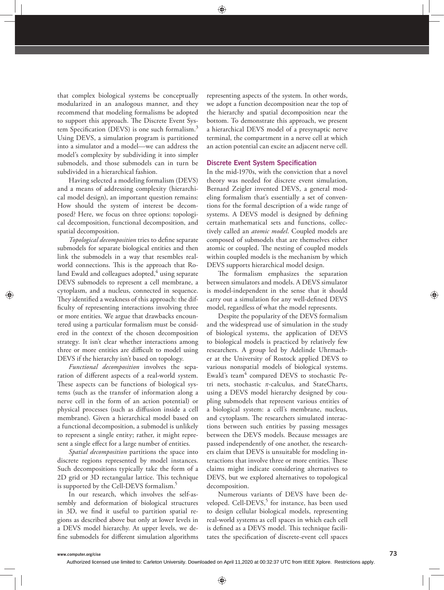that complex biological systems be conceptually modularized in an analogous manner, and they recommend that modeling formalisms be adopted to support this approach. The Discrete Event System Specification (DEVS) is one such formalism.<sup>3</sup> Using DEVS, a simulation program is partitioned into a simulator and a model—we can address the model's complexity by subdividing it into simpler submodels, and those submodels can in turn be subdivided in a hierarchical fashion.

Having selected a modeling formalism (DEVS) and a means of addressing complexity (hierarchical model design), an important question remains: How should the system of interest be decomposed? Here, we focus on three options: topological decomposition, functional decomposition, and spatial decomposition.

*Topological decomposition* tries to define separate submodels for separate biological entities and then link the submodels in a way that resembles realworld connections. This is the approach that Roland Ewald and colleagues adopted, $^4$  using separate DEVS submodels to represent a cell membrane, a cytoplasm, and a nucleus, connected in sequence. They identified a weakness of this approach: the difficulty of representing interactions involving three or more entities. We argue that drawbacks encountered using a particular formalism must be considered in the context of the chosen decomposition strategy. It isn't clear whether interactions among three or more entities are difficult to model using DEVS if the hierarchy isn't based on topology.

*Functional decomposition* involves the separation of different aspects of a real-world system. These aspects can be functions of biological systems (such as the transfer of information along a nerve cell in the form of an action potential) or physical processes (such as diffusion inside a cell membrane). Given a hierarchical model based on a functional decomposition, a submodel is unlikely to represent a single entity; rather, it might represent a single effect for a large number of entities.

*Spatial decomposition* partitions the space into discrete regions represented by model instances. Such decompositions typically take the form of a 2D grid or 3D rectangular lattice. This technique is supported by the Cell-DEVS formalism.<sup>5</sup>

In our research, which involves the self-assembly and deformation of biological structures in 3D, we find it useful to partition spatial regions as described above but only at lower levels in a DEVS model hierarchy. At upper levels, we define submodels for different simulation algorithms

representing aspects of the system. In other words, we adopt a function decomposition near the top of the hierarchy and spatial decomposition near the bottom. To demonstrate this approach, we present a hierarchical DEVS model of a presynaptic nerve terminal, the compartment in a nerve cell at which an action potential can excite an adjacent nerve cell.

#### Discrete Event System Specification

In the mid-1970s, with the conviction that a novel theory was needed for discrete event simulation, Bernard Zeigler invented DEVS, a general modeling formalism that's essentially a set of conventions for the formal description of a wide range of systems. A DEVS model is designed by defining certain mathematical sets and functions, collectively called an *atomic model*. Coupled models are composed of submodels that are themselves either atomic or coupled. The nesting of coupled models within coupled models is the mechanism by which DEVS supports hierarchical model design.

The formalism emphasizes the separation between simulators and models. A DEVS simulator is model-independent in the sense that it should carry out a simulation for any well-defined DEVS model, regardless of what the model represents.

Despite the popularity of the DEVS formalism and the widespread use of simulation in the study of biological systems, the application of DEVS to biological models is practiced by relatively few researchers. A group led by Adelinde Uhrmacher at the University of Rostock applied DEVS to various nonspatial models of biological systems. Ewald's team<sup>4</sup> compared DEVS to stochastic Petri nets, stochastic *π*-calculus, and StateCharts, using a DEVS model hierarchy designed by coupling submodels that represent various entities of a biological system: a cell's membrane, nucleus, and cytoplasm. The researchers simulated interactions between such entities by passing messages between the DEVS models. Because messages are passed independently of one another, the researchers claim that DEVS is unsuitable for modeling interactions that involve three or more entities. These claims might indicate considering alternatives to DEVS, but we explored alternatives to topological decomposition.

Numerous variants of DEVS have been developed. Cell-DEVS,<sup>5</sup> for instance, has been used to design cellular biological models, representing real-world systems as cell spaces in which each cell is defined as a DEVS model. This technique facilitates the specification of discrete-event cell spaces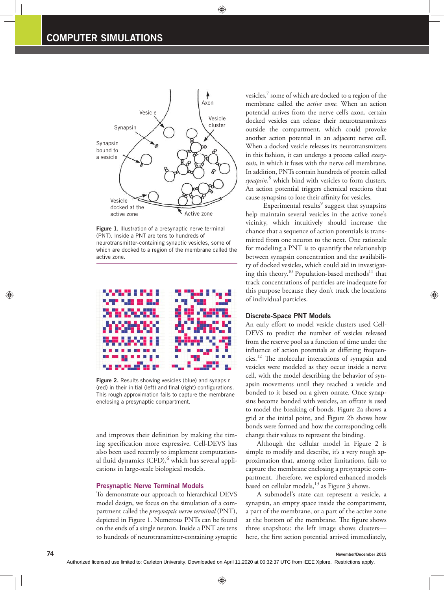

Figure 1. Illustration of a presynaptic nerve terminal (PNT). Inside a PNT are tens to hundreds of neurotransmitter-containing synaptic vesicles, some of which are docked to a region of the membrane called the active zone.



Figure 2. Results showing vesicles (blue) and synapsin (red) in their initial (left) and final (right) configurations. This rough approximation fails to capture the membrane enclosing a presynaptic compartment.

and improves their definition by making the timing specification more expressive. Cell-DEVS has also been used recently to implement computational fluid dynamics (CFD), $^6$  which has several applications in large-scale biological models.

# Presynaptic Nerve Terminal Models

To demonstrate our approach to hierarchical DEVS model design, we focus on the simulation of a compartment called the *presynaptic nerve terminal* (PNT), depicted in Figure 1. Numerous PNTs can be found on the ends of a single neuron. Inside a PNT are tens to hundreds of neurotransmitter-containing synaptic

vesicles, $\frac{7}{7}$  some of which are docked to a region of the membrane called the *active zone*. When an action potential arrives from the nerve cell's axon, certain docked vesicles can release their neurotransmitters outside the compartment, which could provoke another action potential in an adjacent nerve cell. When a docked vesicle releases its neurotransmitters in this fashion, it can undergo a process called *exocytosis*, in which it fuses with the nerve cell membrane. In addition, PNTs contain hundreds of protein called synapsin,<sup>8</sup> which bind with vesicles to form clusters. An action potential triggers chemical reactions that cause synapsins to lose their affinity for vesicles.

Experimental results $9$  suggest that synapsins help maintain several vesicles in the active zone's vicinity, which intuitively should increase the chance that a sequence of action potentials is transmitted from one neuron to the next. One rationale for modeling a PNT is to quantify the relationship between synapsin concentration and the availability of docked vesicles, which could aid in investigating this theory.<sup>10</sup> Population-based methods<sup>11</sup> that track concentrations of particles are inadequate for this purpose because they don't track the locations of individual particles.

# Discrete-Space PNT Models

An early effort to model vesicle clusters used Cell-DEVS to predict the number of vesicles released from the reserve pool as a function of time under the influence of action potentials at differing frequencies.12 The molecular interactions of synapsin and vesicles were modeled as they occur inside a nerve cell, with the model describing the behavior of synapsin movements until they reached a vesicle and bonded to it based on a given onrate. Once synapsins become bonded with vesicles, an offrate is used to model the breaking of bonds. Figure 2a shows a grid at the initial point, and Figure 2b shows how bonds were formed and how the corresponding cells change their values to represent the binding.

Although the cellular model in Figure 2 is simple to modify and describe, it's a very rough approximation that, among other limitations, fails to capture the membrane enclosing a presynaptic compartment. Therefore, we explored enhanced models based on cellular models,  $13$  as Figure 3 shows.

A submodel's state can represent a vesicle, a synapsin, an empty space inside the compartment, a part of the membrane, or a part of the active zone at the bottom of the membrane. The figure shows three snapshots: the left image shows clusters here, the first action potential arrived immediately,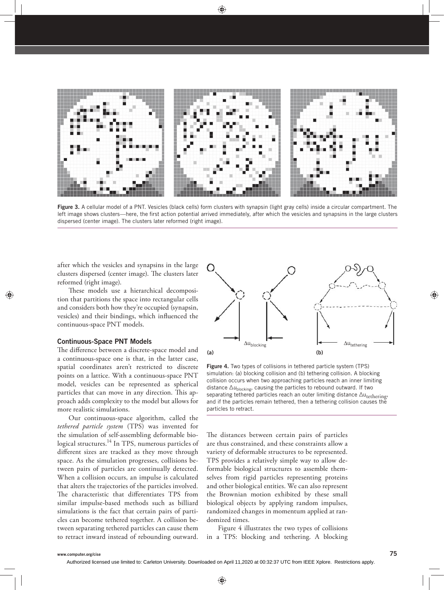

Figure 3. A cellular model of a PNT. Vesicles (black cells) form clusters with synapsin (light gray cells) inside a circular compartment. The left image shows clusters—here, the first action potential arrived immediately, after which the vesicles and synapsins in the large clusters dispersed (center image). The clusters later reformed (right image).

after which the vesicles and synapsins in the large clusters dispersed (center image). The clusters later reformed (right image).

These models use a hierarchical decomposition that partitions the space into rectangular cells and considers both how they're occupied (synapsin, vesicles) and their bindings, which influenced the continuous-space PNT models.

# Continuous-Space PNT Models

The difference between a discrete-space model and a continuous-space one is that, in the latter case, spatial coordinates aren't restricted to discrete points on a lattice. With a continuous-space PNT model, vesicles can be represented as spherical particles that can move in any direction. This approach adds complexity to the model but allows for more realistic simulations.

Our continuous-space algorithm, called the *tethered particle system* (TPS) was invented for the simulation of self-assembling deformable biological structures.<sup>14</sup> In TPS, numerous particles of different sizes are tracked as they move through space. As the simulation progresses, collisions between pairs of particles are continually detected. When a collision occurs, an impulse is calculated that alters the trajectories of the particles involved. The characteristic that differentiates TPS from similar impulse-based methods such as billiard simulations is the fact that certain pairs of particles can become tethered together. A collision between separating tethered particles can cause them to retract inward instead of rebounding outward.



Figure 4. Two types of collisions in tethered particle system (TPS) simulation: (a) blocking collision and (b) tethering collision. A blocking collision occurs when two approaching particles reach an inner limiting distance Δ*u*blocking, causing the particles to rebound outward. If two separating tethered particles reach an outer limiting distance Δu<sub>tethering</sub>, and if the particles remain tethered, then a tethering collision causes the particles to retract.

The distances between certain pairs of particles are thus constrained, and these constraints allow a variety of deformable structures to be represented. TPS provides a relatively simple way to allow deformable biological structures to assemble themselves from rigid particles representing proteins and other biological entities. We can also represent the Brownian motion exhibited by these small biological objects by applying random impulses, randomized changes in momentum applied at randomized times.

Figure 4 illustrates the two types of collisions in a TPS: blocking and tethering. A blocking

Authorized licensed use limited to: Carleton University. Downloaded on April 11,2020 at 00:32:37 UTC from IEEE Xplore. Restrictions apply.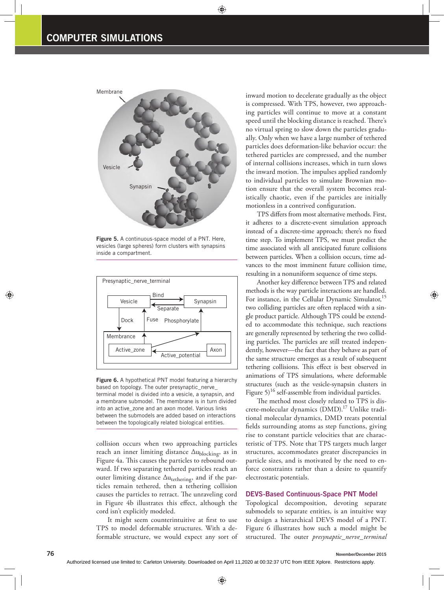

Figure 5. A continuous-space model of a PNT. Here, vesicles (large spheres) form clusters with synapsins inside a compartment.



Figure 6. A hypothetical PNT model featuring a hierarchy based on topology. The outer presynaptic\_nerve\_ terminal model is divided into a vesicle, a synapsin, and a membrane submodel. The membrane is in turn divided into an active zone and an axon model. Various links between the submodels are added based on interactions between the topologically related biological entities.

collision occurs when two approaching particles reach an inner limiting distance Δublocking, as in Figure 4a. This causes the particles to rebound outward. If two separating tethered particles reach an outer limiting distance  $\Delta u_{\text{tethering}}$ , and if the particles remain tethered, then a tethering collision causes the particles to retract. The unraveling cord in Figure 4b illustrates this effect, although the cord isn't explicitly modeled.

It might seem counterintuitive at first to use TPS to model deformable structures. With a deformable structure, we would expect any sort of

inward motion to decelerate gradually as the object is compressed. With TPS, however, two approaching particles will continue to move at a constant speed until the blocking distance is reached. There's no virtual spring to slow down the particles gradually. Only when we have a large number of tethered particles does deformation-like behavior occur: the tethered particles are compressed, and the number of internal collisions increases, which in turn slows the inward motion. The impulses applied randomly to individual particles to simulate Brownian motion ensure that the overall system becomes realistically chaotic, even if the particles are initially motionless in a contrived configuration.

TPS differs from most alternative methods. First, it adheres to a discrete-event simulation approach instead of a discrete-time approach; there's no fixed time step. To implement TPS, we must predict the time associated with all anticipated future collisions between particles. When a collision occurs, time advances to the most imminent future collision time, resulting in a nonuniform sequence of time steps.

Another key difference between TPS and related methods is the way particle interactions are handled. For instance, in the Cellular Dynamic Simulator,<sup>15</sup> two colliding particles are often replaced with a single product particle. Although TPS could be extended to accommodate this technique, such reactions are generally represented by tethering the two colliding particles. The particles are still treated independently, however—the fact that they behave as part of the same structure emerges as a result of subsequent tethering collisions. This effect is best observed in animations of TPS simulations, where deformable structures (such as the vesicle-synapsin clusters in Figure  $5)^{16}$  self-assemble from individual particles.

The method most closely related to TPS is discrete-molecular dynamics (DMD).<sup>17</sup> Unlike traditional molecular dynamics, DMD treats potential fields surrounding atoms as step functions, giving rise to constant particle velocities that are characteristic of TPS. Note that TPS targets much larger structures, accommodates greater discrepancies in particle sizes, and is motivated by the need to enforce constraints rather than a desire to quantify electrostatic potentials.

# DEVS-Based Continuous-Space PNT Model

Topological decomposition, devoting separate submodels to separate entities, is an intuitive way to design a hierarchical DEVS model of a PNT. Figure 6 illustrates how such a model might be structured. The outer *presynaptic\_nerve\_terminal*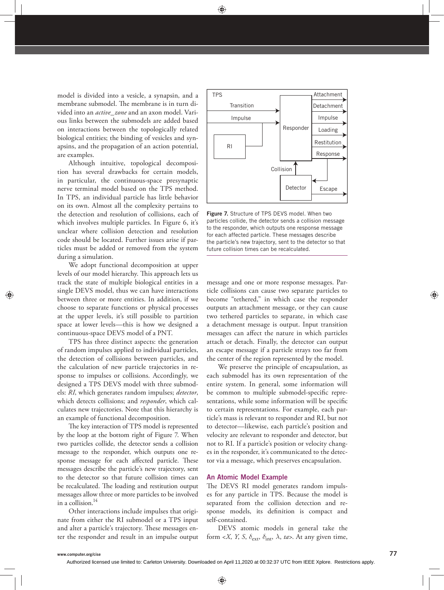model is divided into a vesicle, a synapsin, and a membrane submodel. The membrane is in turn divided into an *active\_zone* and an axon model. Various links between the submodels are added based on interactions between the topologically related biological entities; the binding of vesicles and synapsins, and the propagation of an action potential, are examples.

Although intuitive, topological decomposition has several drawbacks for certain models, in particular, the continuous-space presynaptic nerve terminal model based on the TPS method. In TPS, an individual particle has little behavior on its own. Almost all the complexity pertains to the detection and resolution of collisions, each of which involves multiple particles. In Figure 6, it's unclear where collision detection and resolution code should be located. Further issues arise if particles must be added or removed from the system during a simulation.

We adopt functional decomposition at upper levels of our model hierarchy. This approach lets us track the state of multiple biological entities in a single DEVS model, thus we can have interactions between three or more entities. In addition, if we choose to separate functions or physical processes at the upper levels, it's still possible to partition space at lower levels—this is how we designed a continuous-space DEVS model of a PNT.

TPS has three distinct aspects: the generation of random impulses applied to individual particles, the detection of collisions between particles, and the calculation of new particle trajectories in response to impulses or collisions. Accordingly, we designed a TPS DEVS model with three submodels: *RI*, which generates random impulses; *detector*, which detects collisions; and *responder*, which calculates new trajectories. Note that this hierarchy is an example of functional decomposition.

The key interaction of TPS model is represented by the loop at the bottom right of Figure 7. When two particles collide, the detector sends a collision message to the responder, which outputs one response message for each affected particle. These messages describe the particle's new trajectory, sent to the detector so that future collision times can be recalculated. The loading and restitution output messages allow three or more particles to be involved in a collision.<sup>14</sup>

Other interactions include impulses that originate from either the RI submodel or a TPS input and alter a particle's trajectory. These messages enter the responder and result in an impulse output



Figure 7. Structure of TPS DEVS model. When two particles collide, the detector sends a collision message to the responder, which outputs one response message for each affected particle. These messages describe the particle's new trajectory, sent to the detector so that future collision times can be recalculated.

message and one or more response messages. Particle collisions can cause two separate particles to become "tethered," in which case the responder outputs an attachment message, or they can cause two tethered particles to separate, in which case a detachment message is output. Input transition messages can affect the nature in which particles attach or detach. Finally, the detector can output an escape message if a particle strays too far from the center of the region represented by the model.

We preserve the principle of encapsulation, as each submodel has its own representation of the entire system. In general, some information will be common to multiple submodel-specific representations, while some information will be specific to certain representations. For example, each particle's mass is relevant to responder and RI, but not to detector—likewise, each particle's position and velocity are relevant to responder and detector, but not to RI. If a particle's position or velocity changes in the responder, it's communicated to the detector via a message, which preserves encapsulation.

#### An Atomic Model Example

The DEVS RI model generates random impulses for any particle in TPS. Because the model is separated from the collision detection and response models, its definition is compact and self-contained.

DEVS atomic models in general take the form <*X*, *Y*, *S*,  $\delta_{\text{ext}}$ ,  $\delta_{\text{int}}$ ,  $\lambda$ , *ta*>. At any given time,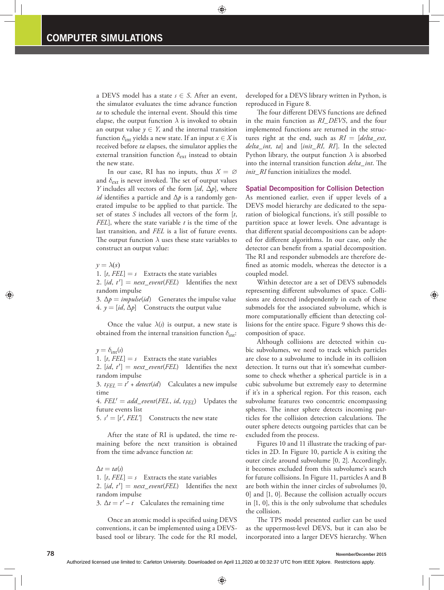a DEVS model has a state  $s \in S$ . After an event, the simulator evaluates the time advance function *ta* to schedule the internal event. Should this time elapse, the output function  $\lambda$  is invoked to obtain an output value  $y \in Y$ , and the internal transition function  $\delta_{\text{int}}$  yields a new state. If an input  $x \in X$  is received before *ta* elapses, the simulator applies the external transition function  $\delta_{\rm ext}$  instead to obtain the new state.

In our case, RI has no inputs, thus  $X = \emptyset$ and  $\delta_{\text{ext}}$  is never invoked. The set of output values *Y* includes all vectors of the form [*id*, Δ*p*], where *id* identifies a particle and  $\Delta p$  is a randomly generated impulse to be applied to that particle. The set of states *S* includes all vectors of the form [*t*, *FEL*], where the state variable *t* is the time of the last transition, and *FEL* is a list of future events. The output function  $\lambda$  uses these state variables to construct an output value:

 $y = \lambda(s)$ 

1.  $[t, FEL] = s$  Extracts the state variables 2.  $(id, t'] = next\_event(FEL)$  Identifies the next random impulse

3.  $\Delta p = \text{impulse}(id)$  Generates the impulse value 4.  $\gamma = [id, \Delta p]$  Constructs the output value

Once the value  $\lambda(s)$  is output, a new state is obtained from the internal transition function  $\delta_{\text{int}}$ :

 $\gamma = \delta_{\rm int}(\mathfrak{s})$ 

1.  $[t, FEL] = s$  Extracts the state variables

2.  $id, t' = next\ event(FEL)$  Identifies the next random impulse

3.  $t_{FEL} = t' + \text{detect}(\text{id})$  Calculates a new impulse time

4. *FEL*′ = *add\_event*(*FEL*, *id*, *tFEL*) Updates the future events list

5.  $s' = [t', FEL']$  Constructs the new state

After the state of RI is updated, the time remaining before the next transition is obtained from the time advance function *ta*:

 $\Delta t = ta(s)$ 1.  $[t, FEL] = s$  Extracts the state variables 2.  $id, t'$ ] =  $next\_event(FEL)$  Identifies the next random impulse

3.  $\Delta t = t' - t$  Calculates the remaining time

Once an atomic model is specified using DEVS conventions, it can be implemented using a DEVSbased tool or library. The code for the RI model, developed for a DEVS library written in Python, is reproduced in Figure 8.

The four different DEVS functions are defined in the main function as *RI\_DEVS*, and the four implemented functions are returned in the structures right at the end, such as  $RI = [delta\_ext,$ *delta\_int, ta*] and [*init\_RI, RI*]. In the selected Python library, the output function  $\lambda$  is absorbed into the internal transition function *delta\_int*. The *init\_RI* function initializes the model.

#### Spatial Decomposition for Collision Detection

As mentioned earlier, even if upper levels of a DEVS model hierarchy are dedicated to the separation of biological functions, it's still possible to partition space at lower levels. One advantage is that different spatial decompositions can be adopted for different algorithms. In our case, only the detector can benefit from a spatial decomposition. The RI and responder submodels are therefore defined as atomic models, whereas the detector is a coupled model.

Within detector are a set of DEVS submodels representing different subvolumes of space. Collisions are detected independently in each of these submodels for the associated subvolume, which is more computationally efficient than detecting collisions for the entire space. Figure 9 shows this decomposition of space.

Although collisions are detected within cubic subvolumes, we need to track which particles are close to a subvolume to include in its collision detection. It turns out that it's somewhat cumbersome to check whether a spherical particle is in a cubic subvolume but extremely easy to determine if it's in a spherical region. For this reason, each subvolume features two concentric encompassing spheres. The inner sphere detects incoming particles for the collision detection calculations. The outer sphere detects outgoing particles that can be excluded from the process.

Figures 10 and 11 illustrate the tracking of particles in 2D. In Figure 10, particle A is exiting the outer circle around subvolume [0, 2]. Accordingly, it becomes excluded from this subvolume's search for future collisions. In Figure 11, particles A and B are both within the inner circles of subvolumes [0, 0] and [1, 0]. Because the collision actually occurs in [1, 0], this is the only subvolume that schedules the collision.

The TPS model presented earlier can be used as the uppermost-level DEVS, but it can also be incorporated into a larger DEVS hierarchy. When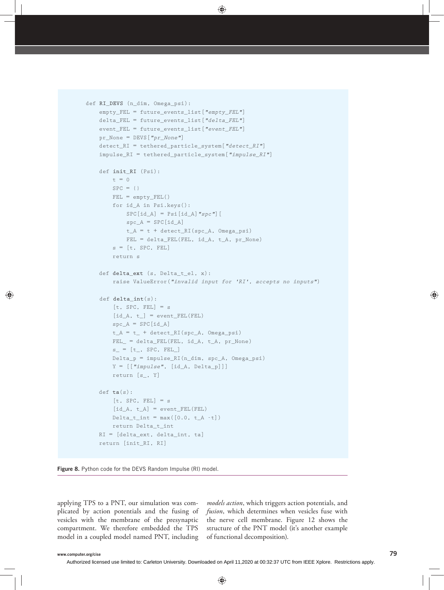```
def RI DEVS (n dim, Omega psi):
 empty_FEL = future_events_list["empty_FEL"]
delta_FEL = future_events_list["delta_FEL"]
 event_FEL = future_events_list["event_FEL"]
 pr_None = DEVS["pr_None"]
 detect_RI = tethered_particle_system["detect_RI"]
 impulse_RI = tethered_particle_system["impulse_RI"]
 def init RI (Psi):
    t = 0SPC = \{\}FEL = empty_FEL()for id_A in Psi.keys():
         SPC[id_A] = Psi[id_A]"spc"][
         spc A = SPC[id A]
         t_A = t + detect_RI(spc_A, 0mega_psi)FEL = delta_FEL(FEL, id_A, t_A, pr_None)
     s = [t, SPEC, FEL]return s
 def delta ext (s, Delta t el, x):
     raise ValueError("invalid input for 'RI', accepts no inputs")
 def delta_int(s):
    [t, SPC, FEL] = s
    idA, t = event FEL(FEL)
     spc_A = SPC[id_A]t_A = t_ + detect_RI(spc_A, Omega_psi)
    FEL_ = delta_FEL(FEL, id_A, t_A, pr_None)
    s_{-} = [t_{-}, \text{SPC}, \text{FEL}_{-}]Delta_p = impulse_RI(n_dim, spc_A, Omega_psi)
    Y = [["impulse", [id_A, Delta_p]]]
     return [s_, Y]
def ta(s):
     [t, SPC, FEL] = s
     [d_A, t_A] = event\_FEL(FEL)Delta_t_{int} = max([0.0, t_A - t])return Delta_t_int
 RI = [delta_ext, delta_int, ta]
 return [init_RI, RI]
```


applying TPS to a PNT, our simulation was complicated by action potentials and the fusing of vesicles with the membrane of the presynaptic compartment. We therefore embedded the TPS model in a coupled model named PNT, including

*models action*, which triggers action potentials, and *fusion*, which determines when vesicles fuse with the nerve cell membrane. Figure 12 shows the structure of the PNT model (it's another example of functional decomposition).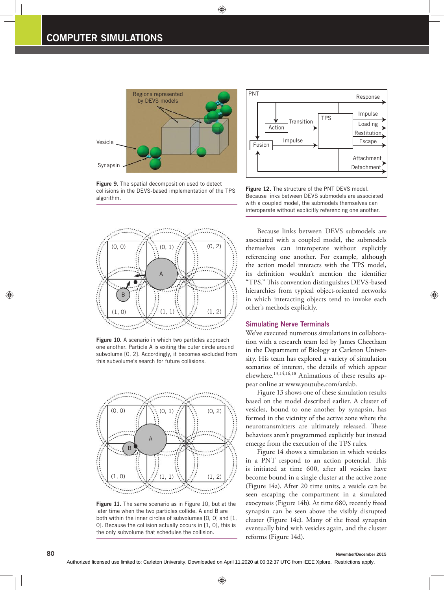

Figure 9. The spatial decomposition used to detect collisions in the DEVS-based implementation of the TPS algorithm.



Figure 10. A scenario in which two particles approach one another. Particle A is exiting the outer circle around subvolume [0, 2]. Accordingly, it becomes excluded from this subvolume's search for future collisions.



Figure 11. The same scenario as in Figure 10, but at the later time when the two particles collide. A and B are both within the inner circles of subvolumes [0, 0] and [1, 0]. Because the collision actually occurs in [1, 0], this is the only subvolume that schedules the collision.



Figure 12. The structure of the PNT DEVS model. Because links between DEVS submodels are associated with a coupled model, the submodels themselves can interoperate without explicitly referencing one another.

Because links between DEVS submodels are associated with a coupled model, the submodels themselves can interoperate without explicitly referencing one another. For example, although the action model interacts with the TPS model, its definition wouldn't mention the identifier "TPS." This convention distinguishes DEVS-based hierarchies from typical object-oriented networks in which interacting objects tend to invoke each other's methods explicitly.

# Simulating Nerve Terminals

We've executed numerous simulations in collaboration with a research team led by James Cheetham in the Department of Biology at Carleton University. His team has explored a variety of simulation scenarios of interest, the details of which appear elsewhere.13,14,16,18 Animations of these results appear online at www.youtube.com/arslab.

Figure 13 shows one of these simulation results based on the model described earlier. A cluster of vesicles, bound to one another by synapsin, has formed in the vicinity of the active zone where the neurotransmitters are ultimately released. These behaviors aren't programmed explicitly but instead emerge from the execution of the TPS rules.

Figure 14 shows a simulation in which vesicles in a PNT respond to an action potential. This is initiated at time 600, after all vesicles have become bound in a single cluster at the active zone (Figure 14a). After 20 time units, a vesicle can be seen escaping the compartment in a simulated exocytosis (Figure 14b). At time 680, recently freed synapsin can be seen above the visibly disrupted cluster (Figure 14c). Many of the freed synapsin eventually bind with vesicles again, and the cluster reforms (Figure 14d).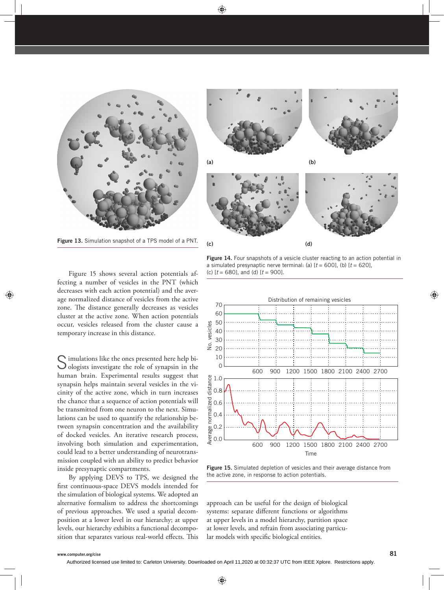

Figure 13. Simulation snapshot of a TPS model of a PNT.

 $(a)$  (b)

(c) (d)

Figure 14. Four snapshots of a vesicle cluster reacting to an action potential in a simulated presynaptic nerve terminal: (a) [*t* = 600], (b) [*t* = 620], (c) [*t* = 680], and (d) [*t* = 900].



Figure 15. Simulated depletion of vesicles and their average distance from the active zone, in response to action potentials.

approach can be useful for the design of biological systems: separate different functions or algorithms at upper levels in a model hierarchy, partition space at lower levels, and refrain from associating particular models with specific biological entities.

Figure 15 shows several action potentials affecting a number of vesicles in the PNT (which decreases with each action potential) and the average normalized distance of vesicles from the active zone. The distance generally decreases as vesicles cluster at the active zone. When action potentials occur, vesicles released from the cluster cause a temporary increase in this distance.

Simulations like the ones presented here help bi-ologists investigate the role of synapsin in the human brain. Experimental results suggest that synapsin helps maintain several vesicles in the vicinity of the active zone, which in turn increases the chance that a sequence of action potentials will be transmitted from one neuron to the next. Simulations can be used to quantify the relationship between synapsin concentration and the availability of docked vesicles. An iterative research process, involving both simulation and experimentation, could lead to a better understanding of neurotransmission coupled with an ability to predict behavior inside presynaptic compartments.

By applying DEVS to TPS, we designed the first continuous-space DEVS models intended for the simulation of biological systems. We adopted an alternative formalism to address the shortcomings of previous approaches. We used a spatial decomposition at a lower level in our hierarchy; at upper levels, our hierarchy exhibits a functional decomposition that separates various real-world effects. This

# www.computer.org/cise  $81$

Authorized licensed use limited to: Carleton University. Downloaded on April 11,2020 at 00:32:37 UTC from IEEE Xplore. Restrictions apply.